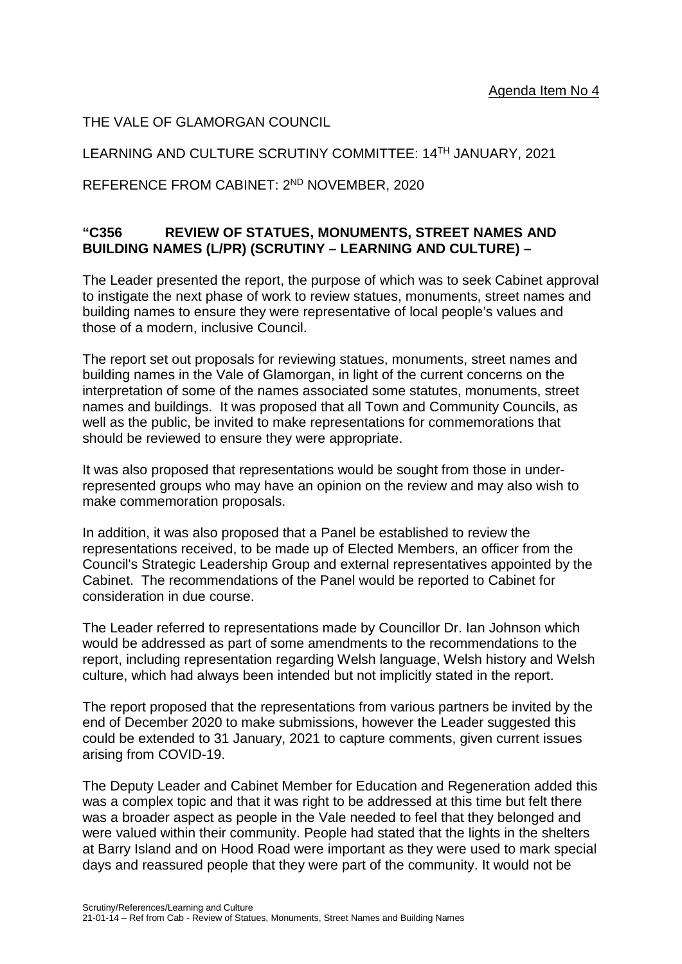THE VALE OF GLAMORGAN COUNCIL

### LEARNING AND CULTURE SCRUTINY COMMITTEE: 14TH JANUARY, 2021

REFERENCE FROM CABINET: 2ND NOVEMBER, 2020

### **"C356 REVIEW OF STATUES, MONUMENTS, STREET NAMES AND BUILDING NAMES (L/PR) (SCRUTINY – LEARNING AND CULTURE) –**

The Leader presented the report, the purpose of which was to seek Cabinet approval to instigate the next phase of work to review statues, monuments, street names and building names to ensure they were representative of local people's values and those of a modern, inclusive Council.

The report set out proposals for reviewing statues, monuments, street names and building names in the Vale of Glamorgan, in light of the current concerns on the interpretation of some of the names associated some statutes, monuments, street names and buildings. It was proposed that all Town and Community Councils, as well as the public, be invited to make representations for commemorations that should be reviewed to ensure they were appropriate.

It was also proposed that representations would be sought from those in underrepresented groups who may have an opinion on the review and may also wish to make commemoration proposals.

In addition, it was also proposed that a Panel be established to review the representations received, to be made up of Elected Members, an officer from the Council's Strategic Leadership Group and external representatives appointed by the Cabinet. The recommendations of the Panel would be reported to Cabinet for consideration in due course.

The Leader referred to representations made by Councillor Dr. Ian Johnson which would be addressed as part of some amendments to the recommendations to the report, including representation regarding Welsh language, Welsh history and Welsh culture, which had always been intended but not implicitly stated in the report.

The report proposed that the representations from various partners be invited by the end of December 2020 to make submissions, however the Leader suggested this could be extended to 31 January, 2021 to capture comments, given current issues arising from COVID-19.

The Deputy Leader and Cabinet Member for Education and Regeneration added this was a complex topic and that it was right to be addressed at this time but felt there was a broader aspect as people in the Vale needed to feel that they belonged and were valued within their community. People had stated that the lights in the shelters at Barry Island and on Hood Road were important as they were used to mark special days and reassured people that they were part of the community. It would not be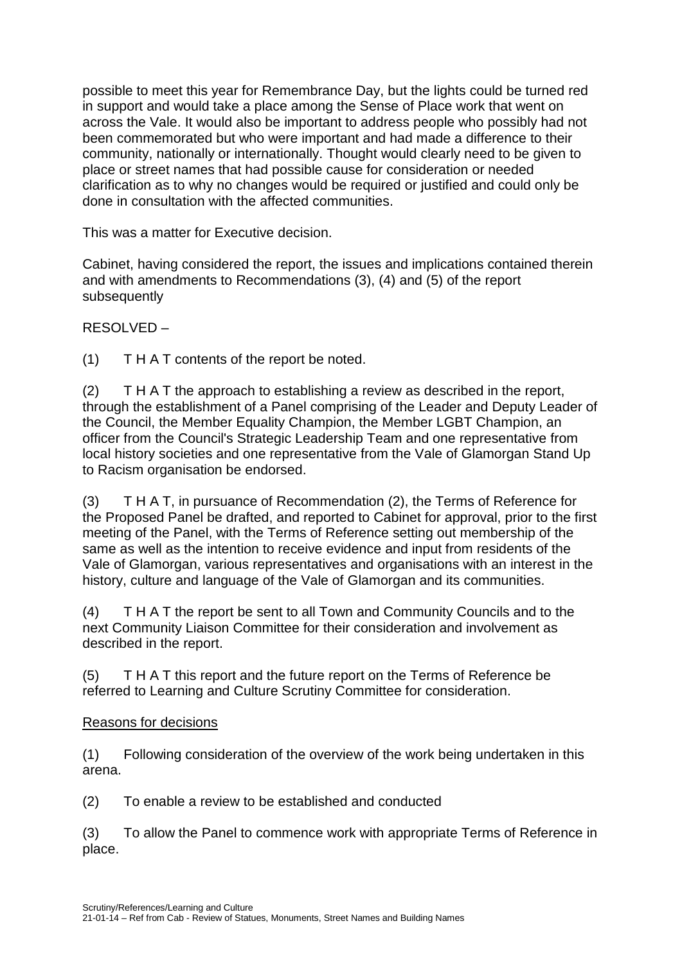possible to meet this year for Remembrance Day, but the lights could be turned red in support and would take a place among the Sense of Place work that went on across the Vale. It would also be important to address people who possibly had not been commemorated but who were important and had made a difference to their community, nationally or internationally. Thought would clearly need to be given to place or street names that had possible cause for consideration or needed clarification as to why no changes would be required or justified and could only be done in consultation with the affected communities.

This was a matter for Executive decision.

Cabinet, having considered the report, the issues and implications contained therein and with amendments to Recommendations (3), (4) and (5) of the report subsequently

RESOLVED –

(1) T H A T contents of the report be noted.

(2) T H A T the approach to establishing a review as described in the report, through the establishment of a Panel comprising of the Leader and Deputy Leader of the Council, the Member Equality Champion, the Member LGBT Champion, an officer from the Council's Strategic Leadership Team and one representative from local history societies and one representative from the Vale of Glamorgan Stand Up to Racism organisation be endorsed.

(3) T H A T, in pursuance of Recommendation (2), the Terms of Reference for the Proposed Panel be drafted, and reported to Cabinet for approval, prior to the first meeting of the Panel, with the Terms of Reference setting out membership of the same as well as the intention to receive evidence and input from residents of the Vale of Glamorgan, various representatives and organisations with an interest in the history, culture and language of the Vale of Glamorgan and its communities.

(4) T H A T the report be sent to all Town and Community Councils and to the next Community Liaison Committee for their consideration and involvement as described in the report.

(5) T H A T this report and the future report on the Terms of Reference be referred to Learning and Culture Scrutiny Committee for consideration.

### Reasons for decisions

(1) Following consideration of the overview of the work being undertaken in this arena.

(2) To enable a review to be established and conducted

(3) To allow the Panel to commence work with appropriate Terms of Reference in place.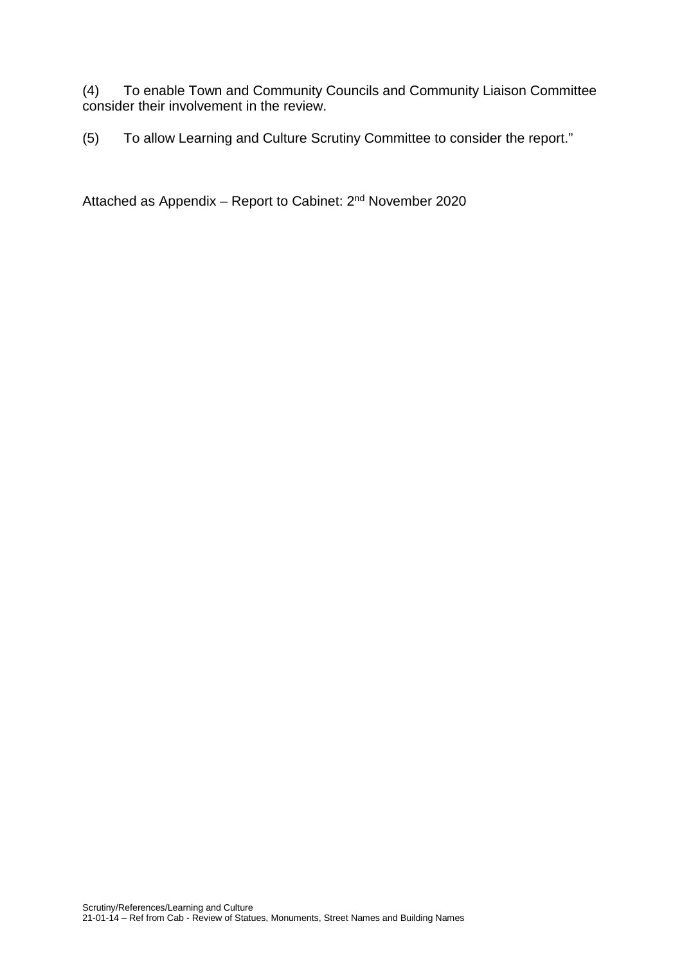(4) To enable Town and Community Councils and Community Liaison Committee consider their involvement in the review.

(5) To allow Learning and Culture Scrutiny Committee to consider the report."

Attached as Appendix – Report to Cabinet: 2nd November 2020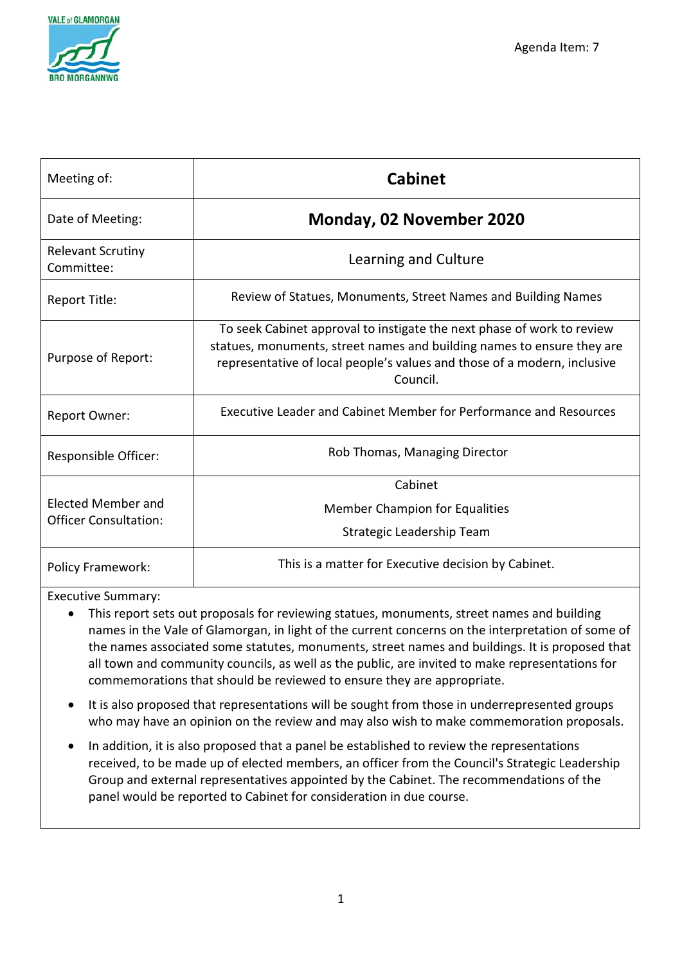

| Meeting of:                                               | <b>Cabinet</b>                                                                                                                                                                                                                           |
|-----------------------------------------------------------|------------------------------------------------------------------------------------------------------------------------------------------------------------------------------------------------------------------------------------------|
| Date of Meeting:                                          | Monday, 02 November 2020                                                                                                                                                                                                                 |
| <b>Relevant Scrutiny</b><br>Committee:                    | Learning and Culture                                                                                                                                                                                                                     |
| Report Title:                                             | Review of Statues, Monuments, Street Names and Building Names                                                                                                                                                                            |
| Purpose of Report:                                        | To seek Cabinet approval to instigate the next phase of work to review<br>statues, monuments, street names and building names to ensure they are<br>representative of local people's values and those of a modern, inclusive<br>Council. |
| Report Owner:                                             | Executive Leader and Cabinet Member for Performance and Resources                                                                                                                                                                        |
| Responsible Officer:                                      | Rob Thomas, Managing Director                                                                                                                                                                                                            |
| <b>Elected Member and</b><br><b>Officer Consultation:</b> | Cabinet<br><b>Member Champion for Equalities</b><br>Strategic Leadership Team                                                                                                                                                            |
| <b>Policy Framework:</b>                                  | This is a matter for Executive decision by Cabinet.                                                                                                                                                                                      |

Executive Summary:

- This report sets out proposals for reviewing statues, monuments, street names and building names in the Vale of Glamorgan, in light of the current concerns on the interpretation of some of the names associated some statutes, monuments, street names and buildings. It is proposed that all town and community councils, as well as the public, are invited to make representations for commemorations that should be reviewed to ensure they are appropriate.
- It is also proposed that representations will be sought from those in underrepresented groups who may have an opinion on the review and may also wish to make commemoration proposals.
- In addition, it is also proposed that a panel be established to review the representations received, to be made up of elected members, an officer from the Council's Strategic Leadership Group and external representatives appointed by the Cabinet. The recommendations of the panel would be reported to Cabinet for consideration in due course.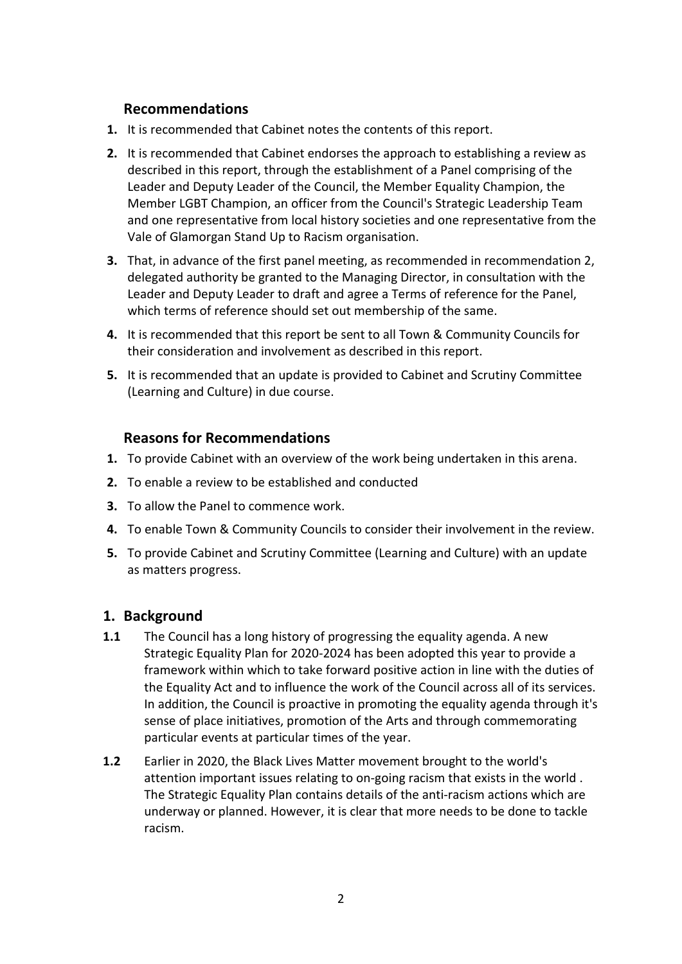## **Recommendations**

- **1.** It is recommended that Cabinet notes the contents of this report.
- **2.** It is recommended that Cabinet endorses the approach to establishing a review as described in this report, through the establishment of a Panel comprising of the Leader and Deputy Leader of the Council, the Member Equality Champion, the Member LGBT Champion, an officer from the Council's Strategic Leadership Team and one representative from local history societies and one representative from the Vale of Glamorgan Stand Up to Racism organisation.
- **3.** That, in advance of the first panel meeting, as recommended in recommendation 2, delegated authority be granted to the Managing Director, in consultation with the Leader and Deputy Leader to draft and agree a Terms of reference for the Panel, which terms of reference should set out membership of the same.
- **4.** It is recommended that this report be sent to all Town & Community Councils for their consideration and involvement as described in this report.
- **5.** It is recommended that an update is provided to Cabinet and Scrutiny Committee (Learning and Culture) in due course.

### **Reasons for Recommendations**

- **1.** To provide Cabinet with an overview of the work being undertaken in this arena.
- **2.** To enable a review to be established and conducted
- **3.** To allow the Panel to commence work.
- **4.** To enable Town & Community Councils to consider their involvement in the review.
- **5.** To provide Cabinet and Scrutiny Committee (Learning and Culture) with an update as matters progress.

### **1. Background**

- **1.1** The Council has a long history of progressing the equality agenda. A new Strategic Equality Plan for 2020-2024 has been adopted this year to provide a framework within which to take forward positive action in line with the duties of the Equality Act and to influence the work of the Council across all of its services. In addition, the Council is proactive in promoting the equality agenda through it's sense of place initiatives, promotion of the Arts and through commemorating particular events at particular times of the year.
- **1.2** Earlier in 2020, the Black Lives Matter movement brought to the world's attention important issues relating to on-going racism that exists in the world . The Strategic Equality Plan contains details of the anti-racism actions which are underway or planned. However, it is clear that more needs to be done to tackle racism.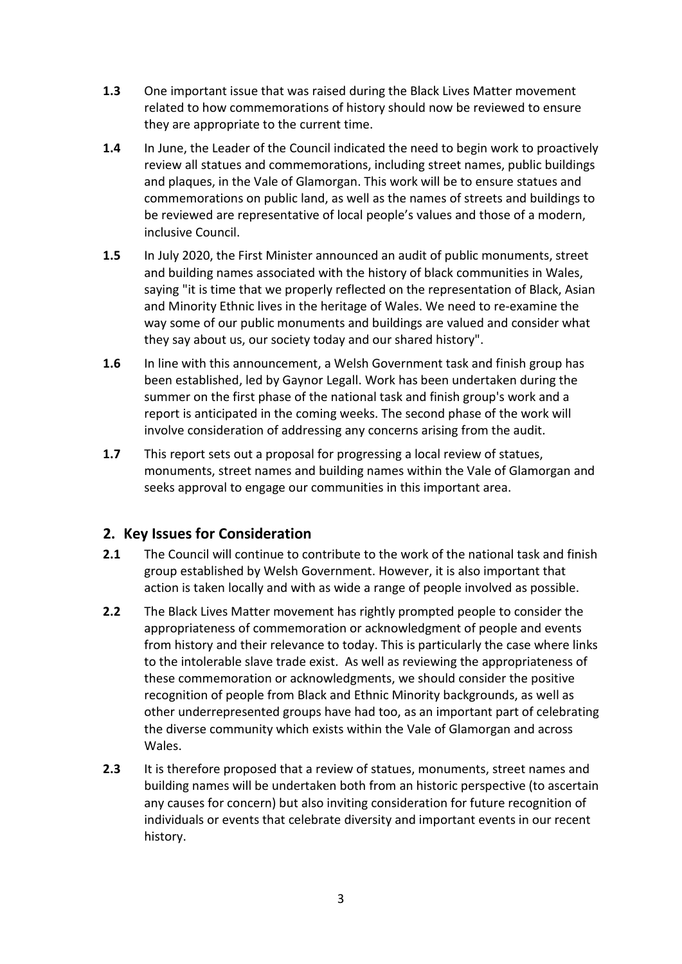- **1.3** One important issue that was raised during the Black Lives Matter movement related to how commemorations of history should now be reviewed to ensure they are appropriate to the current time.
- **1.4** In June, the Leader of the Council indicated the need to begin work to proactively review all statues and commemorations, including street names, public buildings and plaques, in the Vale of Glamorgan. This work will be to ensure statues and commemorations on public land, as well as the names of streets and buildings to be reviewed are representative of local people's values and those of a modern, inclusive Council.
- **1.5** In July 2020, the First Minister announced an audit of public monuments, street and building names associated with the history of black communities in Wales, saying "it is time that we properly reflected on the representation of Black, Asian and Minority Ethnic lives in the heritage of Wales. We need to re-examine the way some of our public monuments and buildings are valued and consider what they say about us, our society today and our shared history".
- **1.6** In line with this announcement, a Welsh Government task and finish group has been established, led by Gaynor Legall. Work has been undertaken during the summer on the first phase of the national task and finish group's work and a report is anticipated in the coming weeks. The second phase of the work will involve consideration of addressing any concerns arising from the audit.
- **1.7** This report sets out a proposal for progressing a local review of statues, monuments, street names and building names within the Vale of Glamorgan and seeks approval to engage our communities in this important area.

## **2. Key Issues for Consideration**

- **2.1** The Council will continue to contribute to the work of the national task and finish group established by Welsh Government. However, it is also important that action is taken locally and with as wide a range of people involved as possible.
- **2.2** The Black Lives Matter movement has rightly prompted people to consider the appropriateness of commemoration or acknowledgment of people and events from history and their relevance to today. This is particularly the case where links to the intolerable slave trade exist. As well as reviewing the appropriateness of these commemoration or acknowledgments, we should consider the positive recognition of people from Black and Ethnic Minority backgrounds, as well as other underrepresented groups have had too, as an important part of celebrating the diverse community which exists within the Vale of Glamorgan and across Wales.
- **2.3** It is therefore proposed that a review of statues, monuments, street names and building names will be undertaken both from an historic perspective (to ascertain any causes for concern) but also inviting consideration for future recognition of individuals or events that celebrate diversity and important events in our recent history.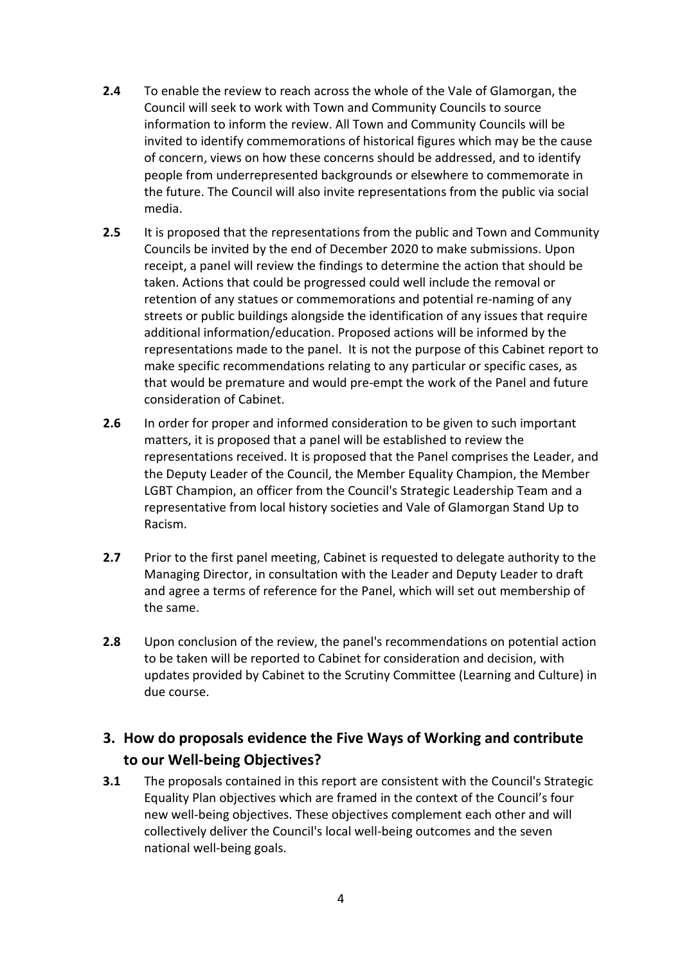- **2.4** To enable the review to reach across the whole of the Vale of Glamorgan, the Council will seek to work with Town and Community Councils to source information to inform the review. All Town and Community Councils will be invited to identify commemorations of historical figures which may be the cause of concern, views on how these concerns should be addressed, and to identify people from underrepresented backgrounds or elsewhere to commemorate in the future. The Council will also invite representations from the public via social media.
- **2.5** It is proposed that the representations from the public and Town and Community Councils be invited by the end of December 2020 to make submissions. Upon receipt, a panel will review the findings to determine the action that should be taken. Actions that could be progressed could well include the removal or retention of any statues or commemorations and potential re-naming of any streets or public buildings alongside the identification of any issues that require additional information/education. Proposed actions will be informed by the representations made to the panel. It is not the purpose of this Cabinet report to make specific recommendations relating to any particular or specific cases, as that would be premature and would pre-empt the work of the Panel and future consideration of Cabinet.
- **2.6** In order for proper and informed consideration to be given to such important matters, it is proposed that a panel will be established to review the representations received. It is proposed that the Panel comprises the Leader, and the Deputy Leader of the Council, the Member Equality Champion, the Member LGBT Champion, an officer from the Council's Strategic Leadership Team and a representative from local history societies and Vale of Glamorgan Stand Up to Racism.
- **2.7** Prior to the first panel meeting, Cabinet is requested to delegate authority to the Managing Director, in consultation with the Leader and Deputy Leader to draft and agree a terms of reference for the Panel, which will set out membership of the same.
- **2.8** Upon conclusion of the review, the panel's recommendations on potential action to be taken will be reported to Cabinet for consideration and decision, with updates provided by Cabinet to the Scrutiny Committee (Learning and Culture) in due course.

# **3. How do proposals evidence the Five Ways of Working and contribute to our Well-being Objectives?**

**3.1** The proposals contained in this report are consistent with the Council's Strategic Equality Plan objectives which are framed in the context of the Council's four new well-being objectives. These objectives complement each other and will collectively deliver the Council's local well-being outcomes and the seven national well-being goals.